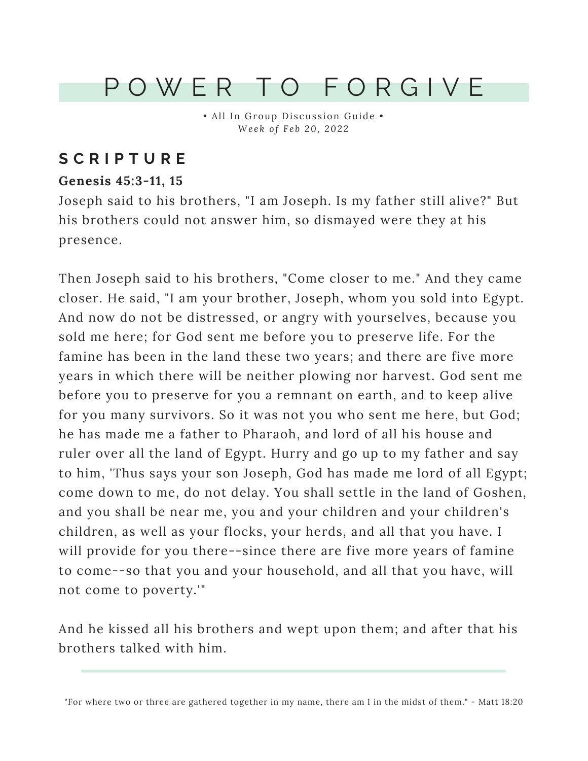## P O W E R T O F O R G I V E

• All In Group Discussion Guide • *We e k o f F e b 20, 202 2*

### **S C R I P T U R E**

#### **Genesis 45:3-11, 15**

Joseph said to his brothers, "I am Joseph. Is my father still alive?" But his brothers could not answer him, so dismayed were they at his presence.

Then Joseph said to his brothers, "Come closer to me." And they came closer. He said, "I am your brother, Joseph, whom you sold into Egypt. And now do not be distressed, or angry with yourselves, because you sold me here; for God sent me before you to preserve life. For the famine has been in the land these two years; and there are five more years in which there will be neither plowing nor harvest. God sent me before you to preserve for you a remnant on earth, and to keep alive for you many survivors. So it was not you who sent me here, but God; he has made me a father to Pharaoh, and lord of all his house and ruler over all the land of Egypt. Hurry and go up to my father and say to him, 'Thus says your son Joseph, God has made me lord of all Egypt; come down to me, do not delay. You shall settle in the land of Goshen, and you shall be near me, you and your children and your children's children, as well as your flocks, your herds, and all that you have. I will provide for you there--since there are five more years of famine to come--so that you and your household, and all that you have, will not come to poverty.'"

And he kissed all his brothers and wept upon them; and after that his brothers talked with him.

"For where two or three are gathered together in my name, there am I in the midst of them." - Matt 18:20